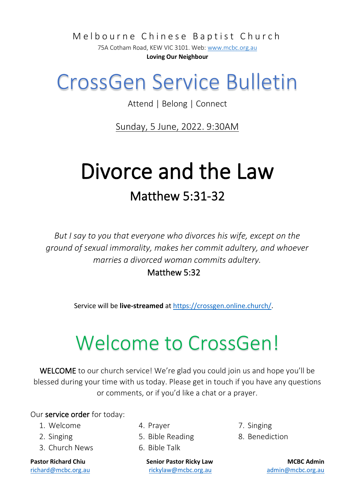Melbourne Chinese Baptist Church

75A Cotham Road, KEW VIC 3101. Web[: www.mcbc.org.au](http://www.mcbc.org.au/) **Loving Our Neighbour**

## CrossGen Service Bulletin

Attend | Belong | Connect

Sunday, 5 June, 2022. 9:30AM

## Divorce and the Law Matthew 5:31-32

*But I say to you that everyone who divorces his wife, except on the ground of sexual immorality, makes her commit adultery, and whoever marries a divorced woman commits adultery.* 

Matthew 5:32

Service will be **live-streamed** a[t https://crossgen.online.church/.](https://crossgen.online.church/)

## Welcome to CrossGen!

WELCOME to our church service! We're glad you could join us and hope you'll be blessed during your time with us today. Please get in touch if you have any questions or comments, or if you'd like a chat or a prayer.

#### Our service order for today:

- 1. Welcome
- 2. Singing
- 3. Church News

- 4. Prayer
- 5. Bible Reading
- 6. Bible Talk

**Pastor Richard Chiu Senior Pastor Ricky Law MCBC Admin** [richard@mcbc.org.au](mailto:richard@mcbc.org.au) [rickylaw@mcbc.org.au](mailto:rickylaw@mcbc.org.au) [admin@mcbc.org.au](mailto:admin@mcbc.org.au)

7. Singing 8. Benediction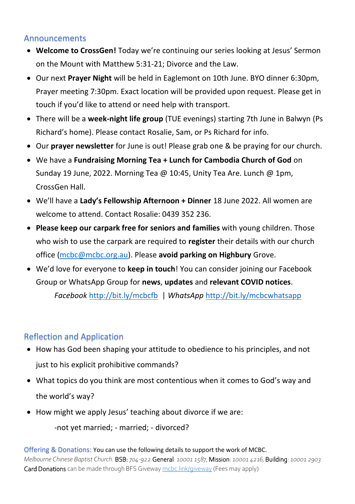#### Announcements

- **Welcome to CrossGen!** Today we're continuing our series looking at Jesus' Sermon on the Mount with Matthew 5:31-21; Divorce and the Law.
- Our next **Prayer Night** will be held in Eaglemont on 10th June. BYO dinner 6:30pm, Prayer meeting 7:30pm. Exact location will be provided upon request. Please get in touch if you'd like to attend or need help with transport.
- There will be a **week-night life group** (TUE evenings) starting 7th June in Balwyn (Ps Richard's home). Please contact Rosalie, Sam, or Ps Richard for info.
- Our **prayer newsletter** for June is out! Please grab one & be praying for our church.
- We have a **Fundraising Morning Tea + Lunch for Cambodia Church of God** on Sunday 19 June, 2022. Morning Tea @ 10:45, Unity Tea Are. Lunch @ 1pm, CrossGen Hall.
- We'll have a **Lady's Fellowship Afternoon + Dinner** 18 June 2022. All women are welcome to attend. Contact Rosalie: 0439 352 236.
- **Please keep our carpark free for seniors and families** with young children. Those who wish to use the carpark are required to **register** their details with our church office [\(mcbc@mcbc.org.au\)](mailto:mcbc@mcbc.org.au). Please **avoid parking on Highbury** Grove.
- We'd love for everyone to **keep in touch**! You can consider joining our Facebook Group or WhatsApp Group for **news**, **updates** and **relevant COVID notices**. *Facebook* <http://bit.ly/mcbcfb>| *WhatsApp* <http://bit.ly/mcbcwhatsapp>

### Reflection and Application

- How has God been shaping your attitude to obedience to his principles, and not just to his explicit prohibitive commands?
- What topics do you think are most contentious when it comes to God's way and the world's way?
- How might we apply Jesus' teaching about divorce if we are:

-not yet married; - married; - divorced?